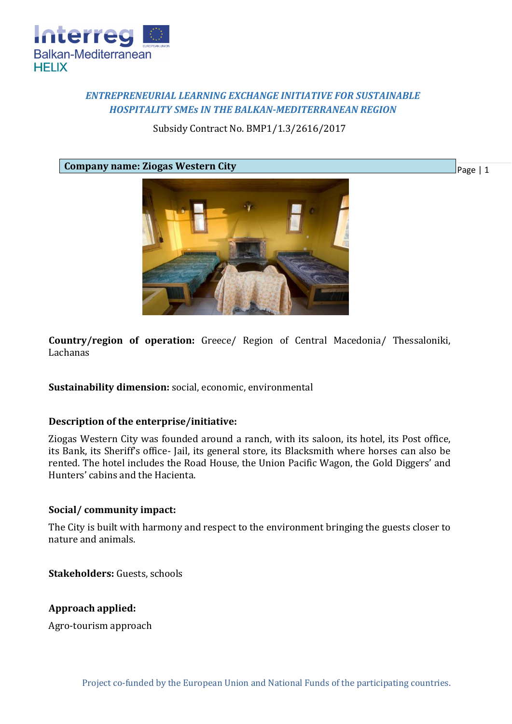

# *ENTREPRENEURIAL LEARNING EXCHANGE INITIATIVE FOR SUSTAINABLE HOSPITALITY SMEs IN THE BALKAN-MEDITERRANEAN REGION*

Subsidy Contract No. BMP1/1.3/2616/2017

**Company name: Ziogas Western City**



**Country/region of operation:** Greece/ Region of Central Macedonia/ Thessaloniki, Lachanas

**Sustainability dimension:** social, economic, environmental

### **Description of the enterprise/initiative:**

Ziogas Western City was founded around a ranch, with its saloon, its hotel, its Post office, its Bank, its Sheriff's office- Jail, its general store, its Blacksmith where horses can also be rented. The hotel includes the Road House, the Union Pacific Wagon, the Gold Diggers' and Hunters' cabins and the Hacienta.

### **Social/ community impact:**

The City is built with harmony and respect to the environment bringing the guests closer to nature and animals.

**Stakeholders:** Guests, schools

# **Approach applied:**

Agro-tourism approach

Page | 1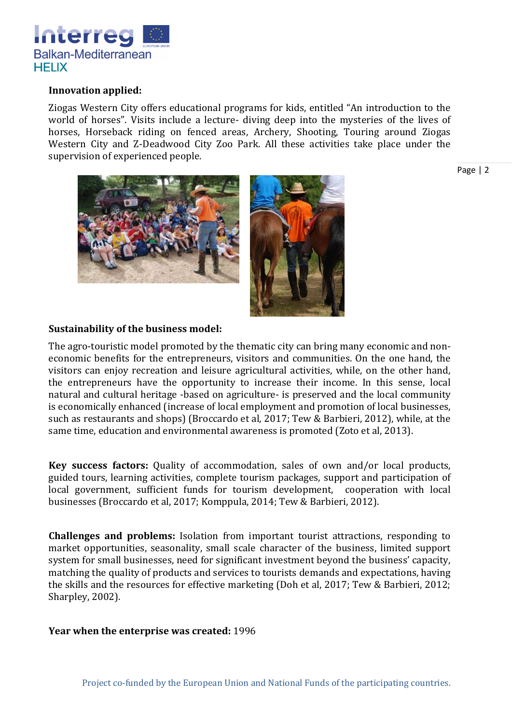

## **Innovation applied:**

Ziogas Western City offers educational programs for kids, entitled "An introduction to the world of horses". Visits include a lecture- diving deep into the mysteries of the lives of horses, Horseback riding on fenced areas, Archery, Shooting, Touring around Ziogas Western City and Z-Deadwood City Zoo Park. All these activities take place under the supervision of experienced people.

Page | 2



# **Sustainability of the business model:**

The agro-touristic model promoted by the thematic city can bring many economic and noneconomic benefits for the entrepreneurs, visitors and communities. On the one hand, the visitors can enjoy recreation and leisure agricultural activities, while, on the other hand, the entrepreneurs have the opportunity to increase their income. In this sense, local natural and cultural heritage -based on agriculture- is preserved and the local community is economically enhanced (increase of local employment and promotion of local businesses, such as restaurants and shops) (Broccardo et al, 2017; Tew & Barbieri, 2012), while, at the same time, education and environmental awareness is promoted (Zoto et al, 2013).

**Key success factors:** Quality of accommodation, sales of own and/or local products, guided tours, learning activities, complete tourism packages, support and participation of local government, sufficient funds for tourism development, cooperation with local businesses (Broccardo et al, 2017; Komppula, 2014; Tew & Barbieri, 2012).

**Challenges and problems:** Isolation from important tourist attractions, responding to market opportunities, seasonality, small scale character of the business, limited support system for small businesses, need for significant investment beyond the business' capacity, matching the quality of products and services to tourists demands and expectations, having the skills and the resources for effective marketing (Doh et al, 2017; Tew & Barbieri, 2012; Sharpley, 2002).

### **Year when the enterprise was created:** 1996